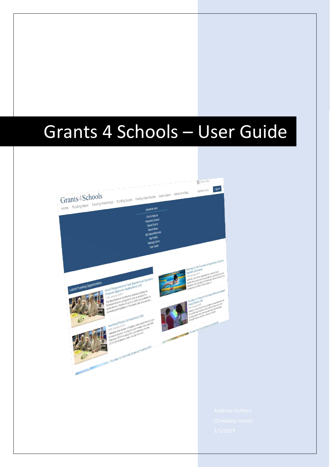# Grants 4 Schools – User Guide

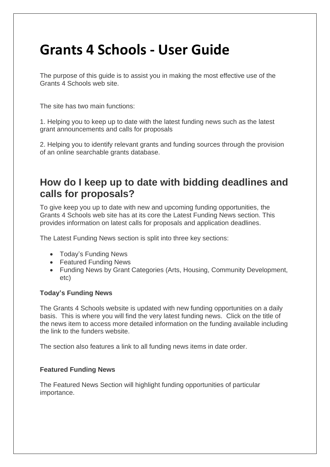## **Grants 4 Schools - User Guide**

The purpose of this guide is to assist you in making the most effective use of the Grants 4 Schools web site.

The site has two main functions:

1. Helping you to keep up to date with the latest funding news such as the latest grant announcements and calls for proposals

2. Helping you to identify relevant grants and funding sources through the provision of an online searchable grants database.

### **How do I keep up to date with bidding deadlines and calls for proposals?**

To give keep you up to date with new and upcoming funding opportunities, the Grants 4 Schools web site has at its core the Latest Funding News section. This provides information on latest calls for proposals and application deadlines.

The Latest Funding News section is split into three key sections:

- Today's Funding News
- Featured Funding News
- Funding News by Grant Categories (Arts, Housing, Community Development, etc)

#### **Today's Funding News**

The Grants 4 Schools website is updated with new funding opportunities on a daily basis. This is where you will find the very latest funding news. Click on the title of the news item to access more detailed information on the funding available including the link to the funders website.

The section also features a link to all funding news items in date order.

#### **Featured Funding News**

The Featured News Section will highlight funding opportunities of particular importance.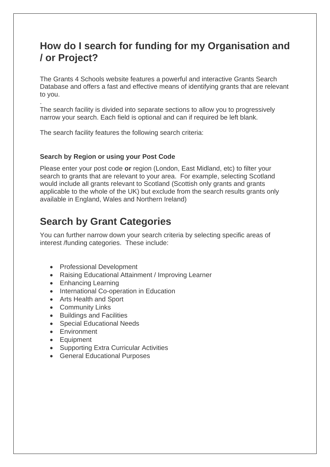### **How do I search for funding for my Organisation and / or Project?**

The Grants 4 Schools website features a powerful and interactive Grants Search Database and offers a fast and effective means of identifying grants that are relevant to you.

. The search facility is divided into separate sections to allow you to progressively narrow your search. Each field is optional and can if required be left blank.

The search facility features the following search criteria:

#### **Search by Region or using your Post Code**

Please enter your post code **or** region (London, East Midland, etc) to filter your search to grants that are relevant to your area. For example, selecting Scotland would include all grants relevant to Scotland (Scottish only grants and grants applicable to the whole of the UK) but exclude from the search results grants only available in England, Wales and Northern Ireland)

### **Search by Grant Categories**

You can further narrow down your search criteria by selecting specific areas of interest /funding categories. These include:

- Professional Development
- Raising Educational Attainment / Improving Learner
- Enhancing Learning
- International Co-operation in Education
- Arts Health and Sport
- Community Links
- Buildings and Facilities
- Special Educational Needs
- Environment
- Equipment
- Supporting Extra Curricular Activities
- General Educational Purposes